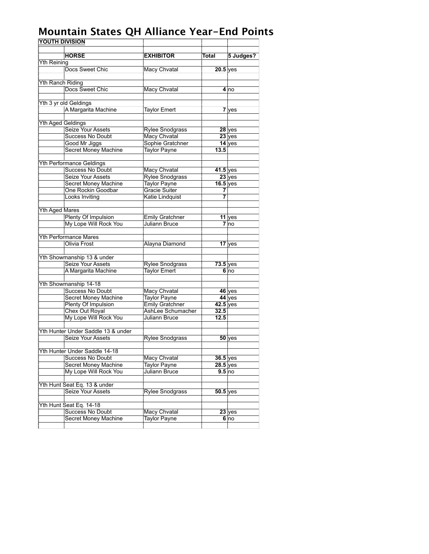| <b>YOUTH DIVISION</b>   |                                              |                                                |            |                           |
|-------------------------|----------------------------------------------|------------------------------------------------|------------|---------------------------|
|                         |                                              |                                                |            |                           |
|                         | <b>HORSE</b>                                 | <b>EXHIBITOR</b>                               | Total      | 5 Judges?                 |
| <b>Yth Reining</b>      |                                              |                                                |            |                           |
|                         | Docs Sweet Chic                              | Macy Chvatal                                   | $20.5$ yes |                           |
| <b>Yth Ranch Riding</b> |                                              |                                                |            |                           |
|                         | Docs Sweet Chic                              | Macy Chvatal                                   |            | 4 no                      |
|                         |                                              |                                                |            |                           |
|                         | Yth 3 yr old Geldings                        |                                                |            |                           |
|                         | A Margarita Machine                          | <b>Taylor Emert</b>                            |            | $7$ yes                   |
|                         |                                              |                                                |            |                           |
| Yth Aged Geldings       |                                              |                                                |            |                           |
|                         | Seize Your Assets                            | <b>Rylee Snodgrass</b>                         |            | 28 yes                    |
|                         | <b>Success No Doubt</b>                      | Macy Chvatal                                   |            | $23$ yes                  |
|                         | Good Mr Jiggs                                | Sophie Gratchner                               |            | $14$ yes                  |
|                         | Secret Money Machine                         | <b>Taylor Payne</b>                            | 13.5       |                           |
|                         |                                              |                                                |            |                           |
|                         | <b>Yth Performance Geldings</b>              |                                                |            |                           |
|                         | <b>Success No Doubt</b>                      | Macy Chvatal                                   | $41.5$ yes |                           |
|                         | Seize Your Assets                            | <b>Rylee Snodgrass</b>                         |            | $23$ yes                  |
|                         | <b>Secret Money Machine</b>                  | Taylor Payne                                   | $16.5$ yes |                           |
|                         | One Rockin Goodbar                           | Gracie Suiter                                  | 7          |                           |
|                         | Looks Inviting                               | Katie Lindquist                                | 7          |                           |
|                         |                                              |                                                |            |                           |
| <b>Yth Aged Mares</b>   |                                              |                                                |            |                           |
|                         | Plenty Of Impulsion<br>My Lope Will Rock You | <b>Emily Gratchner</b><br><b>Juliann Bruce</b> |            | 11 yes<br>7 <sub>no</sub> |
|                         |                                              |                                                |            |                           |
|                         | <b>Yth Performance Mares</b>                 |                                                |            |                           |
|                         | Olivia Frost                                 | Alayna Diamond                                 |            | $17$ yes                  |
|                         |                                              |                                                |            |                           |
|                         | Yth Showmanship 13 & under                   |                                                |            |                           |
|                         | Seize Your Assets                            | <b>Rylee Snodgrass</b>                         | $73.5$ yes |                           |
|                         | A Margarita Machine                          | Taylor Emert                                   |            | 6 <sub>no</sub>           |
|                         |                                              |                                                |            |                           |
|                         | Yth Showmanship 14-18                        |                                                |            |                           |
|                         | <b>Success No Doubt</b>                      | Macy Chvatal                                   |            | $46$ yes                  |
|                         | <b>Secret Money Machine</b>                  | <b>Taylor Payne</b>                            |            | 44 yes                    |
|                         | Plenty Of Impulsion                          | Emily Gratchner                                | $42.5$ yes |                           |
|                         | Chex Out Royal                               | AshLee Schumacher                              | 32.5       |                           |
|                         | My Lope Will Rock You                        | Juliann Bruce                                  | 12.5       |                           |
|                         |                                              |                                                |            |                           |
|                         | Yth Hunter Under Saddle 13 & under           |                                                |            |                           |
|                         | Seize Your Assets                            | <b>Rylee Snodgrass</b>                         |            | $50$ yes                  |
|                         | Yth Hunter Under Saddle 14-18                |                                                |            |                           |
|                         | Success No Doubt                             | Macy Chvatal                                   | $36.5$ yes |                           |
|                         | <b>Secret Money Machine</b>                  | <b>Taylor Payne</b>                            | $28.5$ yes |                           |
|                         | My Lope Will Rock You                        | Juliann Bruce                                  | 9.5 no     |                           |
|                         |                                              |                                                |            |                           |
|                         | Yth Hunt Seat Eq. 13 & under                 |                                                |            |                           |
|                         | Seize Your Assets                            | Rylee Snodgrass                                | $50.5$ yes |                           |
|                         |                                              |                                                |            |                           |
|                         | Yth Hunt Seat Eq. 14-18                      |                                                |            |                           |
|                         | <b>Success No Doubt</b>                      | Macy Chvatal                                   |            | 23 yes                    |
|                         | <b>Secret Money Machine</b>                  | <b>Taylor Payne</b>                            |            | 6 no                      |
|                         |                                              |                                                |            |                           |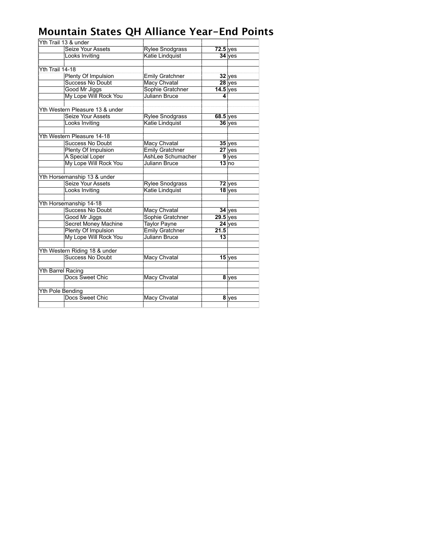|                   | Yth Trail 13 & under            |                        |            |                  |
|-------------------|---------------------------------|------------------------|------------|------------------|
|                   | Seize Your Assets               | <b>Rylee Snodgrass</b> | $72.5$ yes |                  |
|                   | Looks Inviting                  | Katie Lindquist        |            | $34$ yes         |
|                   |                                 |                        |            |                  |
| Yth Trail 14-18   |                                 |                        |            |                  |
|                   | <b>Plenty Of Impulsion</b>      | <b>Emily Gratchner</b> |            | $32$ yes         |
|                   | <b>Success No Doubt</b>         | <b>Macy Chvatal</b>    |            | $28$ yes         |
|                   | Good Mr Jiggs                   | Sophie Gratchner       | $14.5$ yes |                  |
|                   | My Lope Will Rock You           | Juliann Bruce          | 4          |                  |
|                   |                                 |                        |            |                  |
|                   | Yth Western Pleasure 13 & under |                        |            |                  |
|                   | Seize Your Assets               | <b>Rylee Snodgrass</b> | $68.5$ yes |                  |
|                   | Looks Inviting                  | Katie Lindquist        |            | $36$ yes         |
|                   |                                 |                        |            |                  |
|                   | Yth Western Pleasure 14-18      |                        |            |                  |
|                   | <b>Success No Doubt</b>         | Macy Chvatal           |            | $35$ yes         |
|                   | Plenty Of Impulsion             | <b>Emily Gratchner</b> |            | $27$ yes         |
|                   | A Special Loper                 | AshLee Schumacher      |            | $9$ yes          |
|                   | My Lope Will Rock You           | Juliann Bruce          |            | 13 <sub>no</sub> |
|                   | Yth Horsemanship 13 & under     |                        |            |                  |
|                   | <b>Seize Your Assets</b>        | <b>Rylee Snodgrass</b> |            | $72$ yes         |
|                   | Looks Inviting                  | Katie Lindquist        |            | $18$ yes         |
|                   |                                 |                        |            |                  |
|                   | Yth Horsemanship 14-18          |                        |            |                  |
|                   | <b>Success No Doubt</b>         | <b>Macy Chvatal</b>    |            | $34$ yes         |
|                   | Good Mr Jiggs                   | Sophie Gratchner       | $29.5$ yes |                  |
|                   | <b>Secret Money Machine</b>     | <b>Taylor Payne</b>    |            | 24 yes           |
|                   | <b>Plenty Of Impulsion</b>      | <b>Emily Gratchner</b> | 21.5       |                  |
|                   | My Lope Will Rock You           | Juliann Bruce          | 13         |                  |
|                   |                                 |                        |            |                  |
|                   | Yth Western Riding 18 & under   |                        |            |                  |
|                   | <b>Success No Doubt</b>         | Macy Chvatal           |            | $15$ yes         |
|                   |                                 |                        |            |                  |
| Yth Barrel Racing |                                 |                        |            |                  |
|                   | Docs Sweet Chic                 | Macy Chvatal           |            | 8 yes            |
| Yth Pole Bending  |                                 |                        |            |                  |
|                   | Docs Sweet Chic                 | <b>Macy Chvatal</b>    |            | 8 yes            |
|                   |                                 |                        |            |                  |
|                   |                                 |                        |            |                  |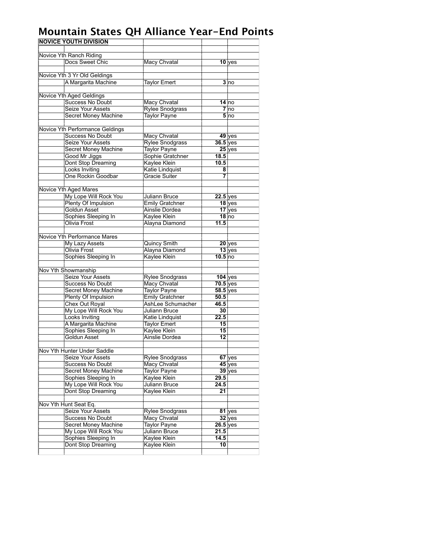| <b>NOVICE YOUTH DIVISION</b> |                                             |                                        |                    |                 |
|------------------------------|---------------------------------------------|----------------------------------------|--------------------|-----------------|
|                              |                                             |                                        |                    |                 |
|                              | Novice Yth Ranch Riding                     |                                        |                    |                 |
|                              | Docs Sweet Chic                             | <b>Macy Chvatal</b>                    |                    | $10$ yes        |
|                              |                                             |                                        |                    |                 |
|                              | Novice Yth 3 Yr Old Geldings                |                                        |                    |                 |
|                              | A Margarita Machine                         | <b>Taylor Emert</b>                    |                    | 3 no            |
|                              |                                             |                                        |                    |                 |
|                              | Novice Yth Aged Geldings                    |                                        |                    |                 |
|                              | <b>Success No Doubt</b>                     | Macy Chvatal                           |                    | $14$ no         |
|                              | Seize Your Assets                           | <b>Rylee Snodgrass</b>                 |                    | 7 no            |
|                              | <b>Secret Money Machine</b>                 | <b>Taylor Payne</b>                    |                    | 5 <sub>no</sub> |
|                              |                                             |                                        |                    |                 |
|                              | Novice Yth Performance Geldings             |                                        |                    |                 |
|                              | <b>Success No Doubt</b>                     | Macy Chvatal                           |                    | $49$ yes        |
|                              | Seize Your Assets                           | <b>Rylee Snodgrass</b>                 | 36.5 yes           |                 |
|                              | Secret Money Machine                        | <b>Taylor Payne</b>                    |                    | $25$ yes        |
|                              | Good Mr Jiggs                               | Sophie Gratchner                       | 18.5               |                 |
|                              | Dont Stop Dreaming                          | Kaylee Klein                           | 10.5               |                 |
|                              | <b>Looks Inviting</b>                       | Katie Lindquist                        | 8                  |                 |
|                              | One Rockin Goodbar                          | <b>Gracie Suiter</b>                   | 7                  |                 |
|                              |                                             |                                        |                    |                 |
|                              | <b>Novice Yth Aged Mares</b>                |                                        |                    |                 |
|                              | My Lope Will Rock You                       | <b>Juliann Bruce</b>                   | $22.5$ yes         |                 |
|                              | Plenty Of Impulsion                         | <b>Emily Gratchner</b>                 |                    | $18$ yes        |
|                              | Goldun Asset                                | <b>Ainslie Dordea</b>                  |                    | $17$ yes        |
|                              | Sophies Sleeping In                         | Kaylee Klein                           |                    | $18$ no         |
|                              | Olivia Frost                                | Alayna Diamond                         | 11.5               |                 |
|                              |                                             |                                        |                    |                 |
|                              | Novice Yth Performance Mares                |                                        |                    |                 |
|                              | My Lazy Assets                              | Quincy Smith                           |                    | 20 yes          |
|                              | Olivia Frost                                | Alayna Diamond                         |                    | $13$ yes        |
|                              | Sophies Sleeping In                         | Kaylee Klein                           | 10.5 <sub>no</sub> |                 |
|                              |                                             |                                        |                    |                 |
|                              | Nov Yth Showmanship                         |                                        |                    |                 |
|                              | Seize Your Assets                           | <b>Rylee Snodgrass</b>                 | $104$ yes          |                 |
|                              | <b>Success No Doubt</b>                     | <b>Macy Chvatal</b>                    | $70.5$ yes         |                 |
|                              | Secret Money Machine<br>Plenty Of Impulsion | <b>Taylor Payne</b><br>Emily Gratchner | $58.5$ yes<br>50.5 |                 |
|                              | Chex Out Royal                              | AshLee Schumacher                      | 46.5               |                 |
|                              | My Lope Will Rock You                       | <b>Juliann Bruce</b>                   | 30                 |                 |
|                              | Looks Inviting                              | Katie Lindquist                        | 22.5               |                 |
|                              | A Margarita Machine                         | <b>Taylor Emert</b>                    | 15                 |                 |
|                              | Sophies Sleeping In                         | Kaylee Klein                           | 15                 |                 |
|                              | Goldun Asset                                | Ainslie Dordea                         | 12                 |                 |
|                              |                                             |                                        |                    |                 |
|                              | Nov Yth Hunter Under Saddle                 |                                        |                    |                 |
|                              | Seize Your Assets                           | Rylee Snodgrass                        |                    | 67 yes          |
|                              | <b>Success No Doubt</b>                     | <b>Macy Chvatal</b>                    |                    | $45$ yes        |
|                              | Secret Money Machine                        | <b>Taylor Payne</b>                    |                    | $39$ yes        |
|                              | Sophies Sleeping In                         | Kaylee Klein                           | 29.5               |                 |
|                              | My Lope Will Rock You                       | Juliann Bruce                          | 24.5               |                 |
|                              | Dont Stop Dreaming                          | Kaylee Klein                           | 21                 |                 |
|                              |                                             |                                        |                    |                 |
|                              | Nov Yth Hunt Seat Eq.                       |                                        |                    |                 |
|                              | Seize Your Assets                           | <b>Rylee Snodgrass</b>                 |                    | $81$ yes        |
|                              | <b>Success No Doubt</b>                     | Macy Chvatal                           |                    | $32$ yes        |
|                              | Secret Money Machine                        | <b>Taylor Payne</b>                    | $26.5$ yes         |                 |
|                              | My Lope Will Rock You                       | Juliann Bruce                          | 21.5               |                 |
|                              | Sophies Sleeping In                         | Kaylee Klein                           | 14.5               |                 |
|                              | Dont Stop Dreaming                          | <b>Kaylee Klein</b>                    | 10                 |                 |
|                              |                                             |                                        |                    |                 |